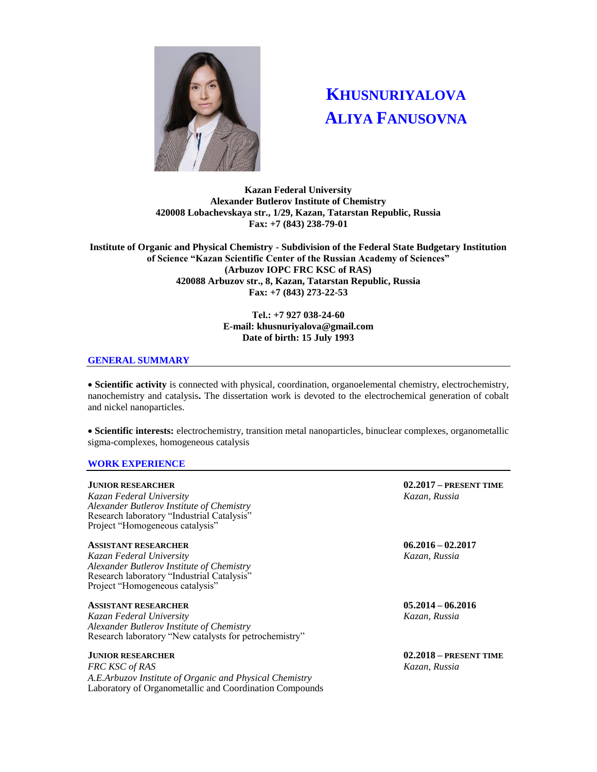

# **KHUSNURIYALOVA ALIYA FANUSOVNA**

**Kazan Federal University Alexander Butlerov Institute of Chemistry 420008 Lobachevskaya str., 1/29, Kazan, Tatarstan Republic, Russia Fax: +7 (843) 238-79-01**

**Institute of Organic and Physical Chemistry - Subdivision of the Federal State Budgetary Institution of Science "Kazan Scientific Center of the Russian Academy of Sciences" (Arbuzov IOPC FRC KSC of RAS) 420088 Arbuzov str., 8, Kazan, Tatarstan Republic, Russia Fax: +7 (843) 273-22-53**

# **Тel.: +7 927 038-24-60 E-mail: khusnuriyalova@gmail.com Date of birth: 15 July 1993**

### **GENERAL SUMMARY**

 **Scientific activity** is connected with physical, coordination, organoelemental chemistry, electrochemistry, nanochemistry and catalysis**.** The dissertation work is devoted to the electrochemical generation of cobalt and nickel nanoparticles.

 **Scientific interests:** electrochemistry, transition metal nanoparticles, binuclear complexes, organometallic sigma-complexes, homogeneous catalysis

### **WORK EXPERIENCE**

*Kazan Federal University Kazan, Russia Alexander Butlerov Institute of Chemistry*  Research laboratory "Industrial Catalysis" Project "Homogeneous catalysis"

### **ASSISTANT RESEARCHER 06.2016 – 02.2017**

*Kazan Federal University Kazan, Russia Alexander Butlerov Institute of Chemistry*  Research laboratory "Industrial Catalysis" Project "Homogeneous catalysis"

# **ASSISTANT RESEARCHER 05.2014 – 06.2016**

*Kazan Federal University Kazan, Russia Alexander Butlerov Institute of Chemistry*  Research laboratory "New catalysts for petrochemistry"

*FRC KSC of RAS Kazan, Russia A.E.Arbuzov Institute of Organic and Physical Chemistry* Laboratory of Organometallic and Coordination Compounds

**JUNIOR RESEARCHER 02.2017 – PRESENT TIME**

**JUNIOR RESEARCHER 02.2018 – PRESENT TIME**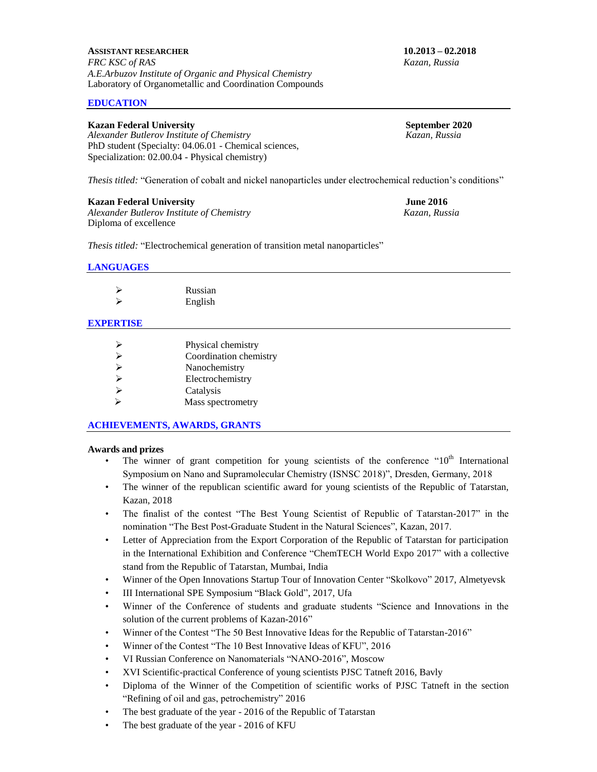### **EDUCATION**

**Kazan Federal University**<br> *Alexander Butlerov Institute of Chemistry*<br> *September 2020*<br> *Kazan, Russia Alexander Butlerov Institute of Chemistry* PhD student (Specialty: 04.06.01 - Chemical sciences, Specialization: 02.00.04 - Physical chemistry)

*Thesis titled:* "Generation of cobalt and nickel nanoparticles under electrochemical reduction's conditions"

#### **Kazan Federal University June 2016**

*Alexander Butlerov Institute of Chemistry Kazan, Russia* Diploma of excellence

*Thesis titled:* "Electrochemical generation of transition metal nanoparticles"

### **LANGUAGES**

| $\triangleright$ | Russian |
|------------------|---------|
| ↘                | English |

## **EXPERTISE**

|   | Physical chemistry     |
|---|------------------------|
|   |                        |
| ⊵ | Coordination chemistry |
| ↘ | Nanochemistry          |
| ↘ | Electrochemistry       |
| ⊵ | Catalysis              |
| ⊵ | Mass spectrometry      |

### **ACHIEVEMENTS, AWARDS, GRANTS**

### **Awards and prizes**

- The winner of grant competition for young scientists of the conference " $10<sup>th</sup>$  International Symposium on Nano and Supramolecular Chemistry (ISNSC 2018)", Dresden, Germany, 2018
- The winner of the republican scientific award for young scientists of the Republic of Tatarstan, Kazan, 2018
- The finalist of the contest "The Best Young Scientist of Republic of Tatarstan-2017" in the nomination "The Best Post-Graduate Student in the Natural Sciences", Kazan, 2017.
- Letter of Appreciation from the Export Corporation of the Republic of Tatarstan for participation in the International Exhibition and Conference "ChemTECH World Expo 2017" with a collective stand from the Republic of Tatarstan, Mumbai, India
- Winner of the Open Innovations Startup Tour of Innovation Center "Skolkovo" 2017, Almetyevsk
- III International SPE Symposium "Black Gold", 2017, Ufa
- Winner of the Conference of students and graduate students "Science and Innovations in the solution of the current problems of Kazan-2016"
- Winner of the Contest "The 50 Best Innovative Ideas for the Republic of Tatarstan-2016"
- Winner of the Contest "The 10 Best Innovative Ideas of KFU", 2016
- VI Russian Conference on Nanomaterials "NANO-2016", Moscow
- XVI Scientific-practical Conference of young scientists PJSC Tatneft 2016, Bavly
- Diploma of the Winner of the Competition of scientific works of PJSC Tatneft in the section "Refining of oil and gas, petrochemistry" 2016
- The best graduate of the year 2016 of the Republic of Tatarstan
- The best graduate of the year 2016 of KFU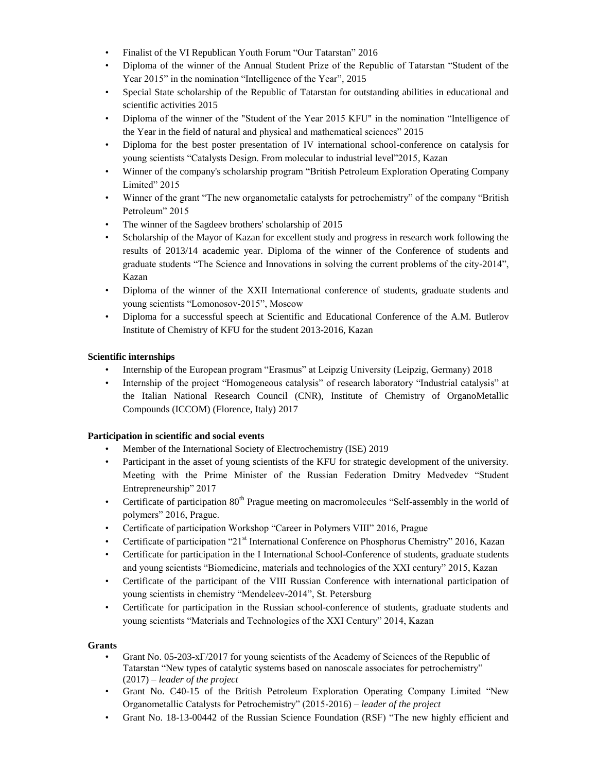- Finalist of the VI Republican Youth Forum "Our Tatarstan" 2016
- Diploma of the winner of the Annual Student Prize of the Republic of Tatarstan "Student of the Year 2015" in the nomination "Intelligence of the Year", 2015
- Special State scholarship of the Republic of Tatarstan for outstanding abilities in educational and scientific activities 2015
- Diploma of the winner of the "Student of the Year 2015 KFU" in the nomination "Intelligence of the Year in the field of natural and physical and mathematical sciences" 2015
- Diploma for the best poster presentation of IV international school-conference on catalysis for young scientists "Catalysts Design. From molecular to industrial level"2015, Kazan
- Winner of the company's scholarship program "British Petroleum Exploration Operating Company Limited" 2015
- Winner of the grant "The new organometalic catalysts for petrochemistry" of the company "British" Рetroleum" 2015
- The winner of the Sagdeev brothers' scholarship of 2015
- Scholarship of the Mayor of Kazan for excellent study and progress in research work following the results of 2013/14 academic year. Diploma of the winner of the Conference of students and graduate students "The Science and Innovations in solving the current problems of the city-2014", Kazan
- Diploma of the winner of the XXII International conference of students, graduate students and young scientists "Lomonosov-2015", Moscow
- Diploma for a successful speech at Scientific and Educational Conference of the A.M. Butlerov Institute of Chemistry of KFU for the student 2013-2016, Kazan

# **Scientific internships**

- Internship of the European program "Erasmus" at Leipzig University (Leipzig, Germany) 2018
- Internship of the project "Homogeneous catalysis" of research laboratory "Industrial catalysis" at the Italian National Research Council (CNR), Institute of Chemistry of OrganoMetallic Compounds (ICCOM) (Florence, Italy) 2017

# **Participation in scientific and social events**

- Member of the International Society of Electrochemistry (ISE) 2019
- Participant in the asset of young scientists of the KFU for strategic development of the university. Meeting with the Prime Minister of the Russian Federation Dmitry Medvedev "Student Entrepreneurship" 2017
- Certificate of participation  $80<sup>th</sup>$  Prague meeting on macromolecules "Self-assembly in the world of polymers" 2016, Prague.
- Certificate of participation Workshop "Career in Polymers VIII" 2016, Prague
- Certificate of participation "21<sup>st</sup> International Conference on Phosphorus Chemistry" 2016, Kazan
- Certificate for participation in the I International School-Conference of students, graduate students and young scientists "Biomedicine, materials and technologies of the XXI century" 2015, Kazan
- Certificate of the participant of the VIII Russian Conference with international participation of young scientists in chemistry "Mendeleev-2014", St. Petersburg
- Certificate for participation in the Russian school-conference of students, graduate students and young scientists "Materials and Technologies of the XXI Century" 2014, Kazan

# **Grants**

- Grant No. 05-203-хГ/2017 for young scientists of the Academy of Sciences of the Republic of Tatarstan "New types of catalytic systems based on nanoscale associates for petrochemistry" (2017) – *leader of the project*
- Grant No. C40-15 of the British Petroleum Exploration Operating Company Limited "New Organometallic Catalysts for Petrochemistry" (2015-2016) – *leader of the project*
- Grant No. 18-13-00442 of the Russian Science Foundation (RSF) "The new highly efficient and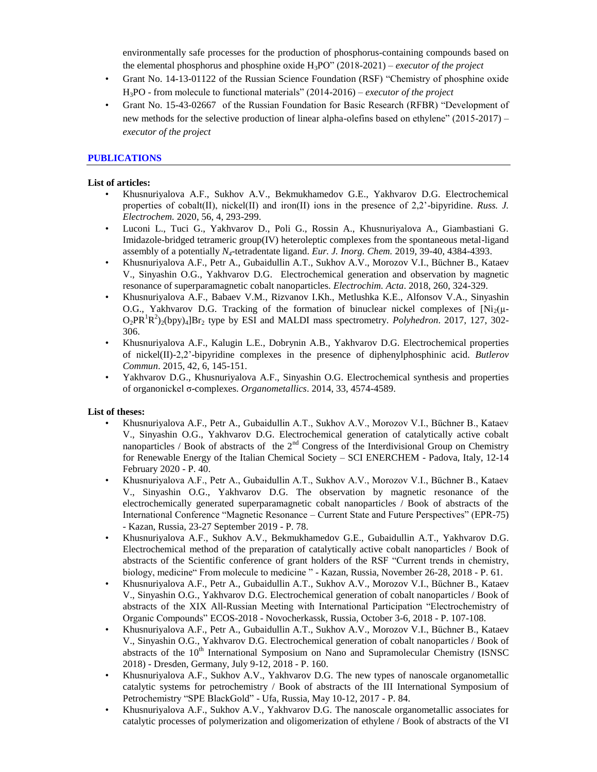environmentally safe processes for the production of phosphorus-containing compounds based on the elemental phosphorus and phosphine oxide  $H_3PO''(2018-2021)$  – *executor of the project* 

- Grant No. 14-13-01122 of the Russian Science Foundation (RSF) "Chemistry of phosphine oxide H3PO - from molecule to functional materials" (2014-2016) – *executor of the project*
- Grant No. 15-43-02667 of the Russian Foundation for Basic Research (RFBR) "Development of new methods for the selective production of linear alpha-olefins based on ethylene" (2015-2017) – *executor of the project*

# **PUBLICATIONS**

# **List of articles:**

- Khusnuriyalova A.F., Sukhov A.V., Bekmukhamedov G.E., Yakhvarov D.G. Electrochemical properties of cobalt(II), nickel(II) and iron(II) ions in the presence of 2,2'-bipyridine. *Russ. J. Electrochem.* 2020, 56, 4, 293-299.
- Luconi L., Tuci G., Yakhvarov D., Poli G., Rossin A., Khusnuriyalova A., Giambastiani G. Imidazole-bridged tetrameric group(IV) heteroleptic complexes from the spontaneous metal-ligand assembly of a potentially *N4*-tetradentate ligand. *Eur. J. Inorg. Chem.* 2019, 39-40, 4384-4393.
- Khusnuriyalova A.F., Petr A., Gubaidullin A.T., Sukhov A.V., Morozov V.I., Büchner B., Kataev V., Sinyashin O.G., Yakhvarov D.G. Electrochemical generation and observation by magnetic resonance of superparamagnetic cobalt nanoparticles. *Electrochim. Acta*. 2018, 260, 324-329.
- Khusnuriyalova A.F., Babaev V.M., Rizvanov I.Kh., Metlushka K.E., Alfonsov V.A., Sinyashin O.G., Yakhvarov D.G. Tracking of the formation of binuclear nickel complexes of  $Ni<sub>2</sub>(\mu$ -O<sub>2</sub>PR<sup>1</sup>R<sup>2</sup><sub>2</sub>(bpy)<sub>4</sub>]Br<sub>2</sub> type by ESI and MALDI mass spectrometry. *Polyhedron*. 2017, 127, 302-306.
- Khusnuriyalova A.F., Kalugin L.E., Dobrynin A.B., Yakhvarov D.G. Electrochemical properties of nickel(II)-2,2'-bipyridine complexes in the presence of diphenylphosphinic acid. *Butlerov Commun*. 2015, 42, 6, 145-151.
- Yakhvarov D.G., Khusnuriyalova A.F., Sinyashin O.G. Electrochemical synthesis and properties of organonickel σ-complexes. *Organometallics*. 2014, 33, 4574-4589.

### **List of theses:**

- Khusnuriyalova A.F., Petr A., Gubaidullin A.T., Sukhov A.V., Morozov V.I., Büchner B., Kataev V., Sinyashin O.G., Yakhvarov D.G. Electrochemical generation of catalytically active cobalt nanoparticles / Book of abstracts of the  $2<sup>nd</sup>$  Congress of the Interdivisional Group on Chemistry for Renewable Energy of the Italian Chemical Society – SCI ENERCHEM - Padova, Italy, 12-14 February 2020 - P. 40.
- Khusnuriyalova A.F., Petr A., Gubaidullin A.T., Sukhov A.V., Morozov V.I., Büchner B., Kataev V., Sinyashin O.G., Yakhvarov D.G. The observation by magnetic resonance of the electrochemically generated superparamagnetic cobalt nanoparticles / Book of abstracts of the International Conference "Magnetic Resonance – Current State and Future Perspectives" (EPR-75) - Kazan, Russia, 23-27 September 2019 - P. 78.
- Khusnuriyalova A.F., Sukhov A.V., Bekmukhamedov G.E., Gubaidullin A.T., Yakhvarov D.G. Electrochemical method of the preparation of catalytically active cobalt nanoparticles / Book of abstracts of the Scientific conference of grant holders of the RSF "Current trends in chemistry, biology, medicine" From molecule to medicine " - Kazan, Russia, November 26-28, 2018 - P. 61.
- Khusnuriyalova A.F., Petr A., Gubaidullin A.T., Sukhov A.V., Morozov V.I., Büchner B., Kataev V., Sinyashin O.G., Yakhvarov D.G. Electrochemical generation of cobalt nanoparticles / Book of abstracts of the XIX All-Russian Meeting with International Participation "Electrochemistry of Organic Compounds" ECOS-2018 - Novocherkassk, Russia, October 3-6, 2018 - P. 107-108.
- Khusnuriyalova A.F., Petr A., Gubaidullin A.T., Sukhov A.V., Morozov V.I., Büchner B., Kataev V., Sinyashin O.G., Yakhvarov D.G. Electrochemical generation of cobalt nanoparticles / Book of abstracts of the 10<sup>th</sup> International Symposium on Nano and Supramolecular Chemistry (ISNSC 2018) - Dresden, Germany, July 9-12, 2018 - P. 160.
- Khusnuriyalova A.F., Sukhov A.V., Yakhvarov D.G. The new types of nanoscale organometallic catalytic systems for petrochemistry / Book of abstracts of the III International Symposium of Petrochemistry "SPE BlackGold" - Ufa, Russia, May 10-12, 2017 - P. 84.
- Khusnuriyalova A.F., Sukhov A.V., Yakhvarov D.G. The nanoscale organometallic associates for catalytic processes of polymerization and oligomerization of ethylene / Book of abstracts of the VI